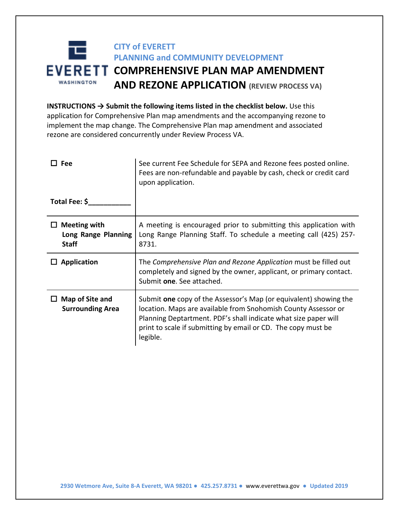## 耳 **CITY of EVERETT PLANNING and COMMUNITY DEVELOPMENT EVERETT COMPREHENSIVE PLAN MAP AMENDMENT WASHINGTON AND REZONE APPLICATION (REVIEW PROCESS VA)**

**INSTRUCTIONS → Submit the following items listed in the checklist below.** Use this application for Comprehensive Plan map amendments and the accompanying rezone to implement the map change. The Comprehensive Plan map amendment and associated rezone are considered concurrently under Review Process VA.

| Fee                                                        | See current Fee Schedule for SEPA and Rezone fees posted online.<br>Fees are non-refundable and payable by cash, check or credit card<br>upon application.                                                                                                                          |
|------------------------------------------------------------|-------------------------------------------------------------------------------------------------------------------------------------------------------------------------------------------------------------------------------------------------------------------------------------|
| Total Fee: \$                                              |                                                                                                                                                                                                                                                                                     |
| <b>Meeting with</b><br>Long Range Planning<br><b>Staff</b> | A meeting is encouraged prior to submitting this application with<br>Long Range Planning Staff. To schedule a meeting call (425) 257-<br>8731.                                                                                                                                      |
| <b>Application</b>                                         | The Comprehensive Plan and Rezone Application must be filled out<br>completely and signed by the owner, applicant, or primary contact.<br>Submit one. See attached.                                                                                                                 |
| Map of Site and<br><b>Surrounding Area</b>                 | Submit one copy of the Assessor's Map (or equivalent) showing the<br>location. Maps are available from Snohomish County Assessor or<br>Planning Deptartment. PDF's shall indicate what size paper will<br>print to scale if submitting by email or CD. The copy must be<br>legible. |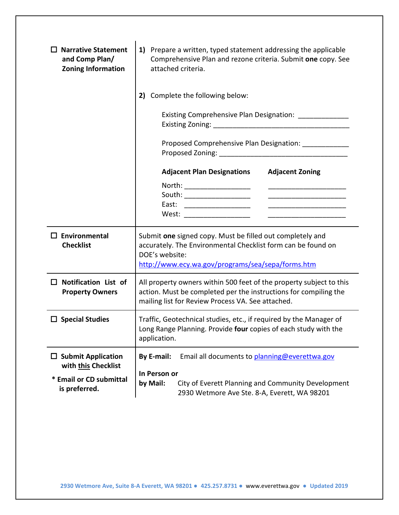| <b>Narrative Statement</b><br>and Comp Plan/<br><b>Zoning Information</b>                    | 1) Prepare a written, typed statement addressing the applicable<br>Comprehensive Plan and rezone criteria. Submit one copy. See<br>attached criteria.                                                |  |  |  |
|----------------------------------------------------------------------------------------------|------------------------------------------------------------------------------------------------------------------------------------------------------------------------------------------------------|--|--|--|
|                                                                                              | Complete the following below:<br>2)<br>Existing Comprehensive Plan Designation: _____________<br>Proposed Comprehensive Plan Designation: ______________                                             |  |  |  |
|                                                                                              | <b>Adjacent Zoning</b><br><b>Adjacent Plan Designations</b><br>North: ____________________<br>East: _____________________<br>West: ________________                                                  |  |  |  |
| $\Box$ Environmental<br><b>Checklist</b>                                                     | Submit one signed copy. Must be filled out completely and<br>accurately. The Environmental Checklist form can be found on<br>DOE's website:<br>http://www.ecy.wa.gov/programs/sea/sepa/forms.htm     |  |  |  |
| <b>Notification List of</b><br>$\mathsf{L}$<br><b>Property Owners</b>                        | All property owners within 500 feet of the property subject to this<br>action. Must be completed per the instructions for compiling the<br>mailing list for Review Process VA. See attached.         |  |  |  |
| $\square$ Special Studies                                                                    | Traffic, Geotechnical studies, etc., if required by the Manager of<br>Long Range Planning. Provide four copies of each study with the<br>application.                                                |  |  |  |
| $\Box$ Submit Application<br>with this Checklist<br>* Email or CD submittal<br>is preferred. | <b>By E-mail:</b><br>Email all documents to planning@everettwa.gov<br>In Person or<br>by Mail:<br>City of Everett Planning and Community Development<br>2930 Wetmore Ave Ste. 8-A, Everett, WA 98201 |  |  |  |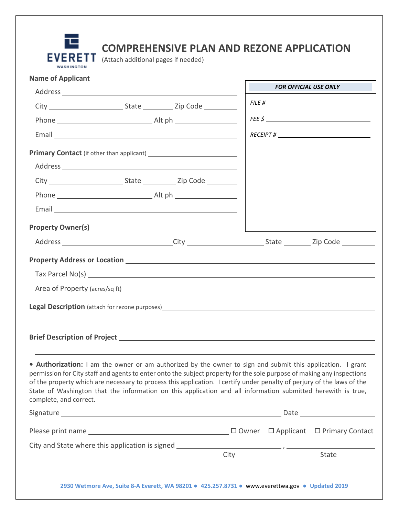

# **COMPREHENSIVE PLAN AND REZONE APPLICATION**

|                                                                                                                                        |                                                                                                                                                                                                                                                                                                                                                                |      | <b>FOR OFFICIAL USE ONLY</b>                                                                                  |
|----------------------------------------------------------------------------------------------------------------------------------------|----------------------------------------------------------------------------------------------------------------------------------------------------------------------------------------------------------------------------------------------------------------------------------------------------------------------------------------------------------------|------|---------------------------------------------------------------------------------------------------------------|
|                                                                                                                                        |                                                                                                                                                                                                                                                                                                                                                                |      |                                                                                                               |
|                                                                                                                                        |                                                                                                                                                                                                                                                                                                                                                                |      | FEE \$                                                                                                        |
|                                                                                                                                        |                                                                                                                                                                                                                                                                                                                                                                |      |                                                                                                               |
|                                                                                                                                        |                                                                                                                                                                                                                                                                                                                                                                |      |                                                                                                               |
|                                                                                                                                        |                                                                                                                                                                                                                                                                                                                                                                |      |                                                                                                               |
|                                                                                                                                        |                                                                                                                                                                                                                                                                                                                                                                |      |                                                                                                               |
|                                                                                                                                        |                                                                                                                                                                                                                                                                                                                                                                |      |                                                                                                               |
|                                                                                                                                        |                                                                                                                                                                                                                                                                                                                                                                |      |                                                                                                               |
|                                                                                                                                        |                                                                                                                                                                                                                                                                                                                                                                |      |                                                                                                               |
|                                                                                                                                        |                                                                                                                                                                                                                                                                                                                                                                |      | Address _________________________________City __________________________State __________Zip Code ____________ |
|                                                                                                                                        |                                                                                                                                                                                                                                                                                                                                                                |      |                                                                                                               |
|                                                                                                                                        |                                                                                                                                                                                                                                                                                                                                                                |      |                                                                                                               |
|                                                                                                                                        |                                                                                                                                                                                                                                                                                                                                                                |      |                                                                                                               |
|                                                                                                                                        | Area of Property (acres/sq ft) Manual Area and Area and Area and Area and Area and Area and Area and Area and Area and Area and Area and Area and Area and Area and Area and Area and Area and Area and Area and Area and Area                                                                                                                                 |      |                                                                                                               |
|                                                                                                                                        |                                                                                                                                                                                                                                                                                                                                                                |      |                                                                                                               |
|                                                                                                                                        |                                                                                                                                                                                                                                                                                                                                                                |      |                                                                                                               |
|                                                                                                                                        |                                                                                                                                                                                                                                                                                                                                                                |      |                                                                                                               |
|                                                                                                                                        |                                                                                                                                                                                                                                                                                                                                                                |      |                                                                                                               |
|                                                                                                                                        | • Authorization: I am the owner or am authorized by the owner to sign and submit this application. I grant<br>permission for City staff and agents to enter onto the subject property for the sole purpose of making any inspections<br>of the property which are necessary to process this application. I certify under penalty of perjury of the laws of the |      |                                                                                                               |
| State of Washington that the information on this application and all information submitted herewith is true,<br>complete, and correct. |                                                                                                                                                                                                                                                                                                                                                                |      |                                                                                                               |
|                                                                                                                                        |                                                                                                                                                                                                                                                                                                                                                                |      |                                                                                                               |
|                                                                                                                                        |                                                                                                                                                                                                                                                                                                                                                                |      |                                                                                                               |
|                                                                                                                                        |                                                                                                                                                                                                                                                                                                                                                                | City | State                                                                                                         |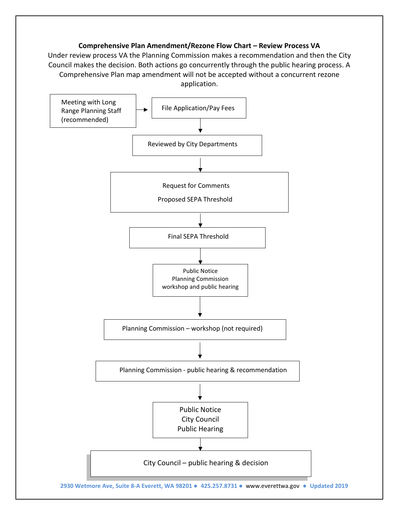## **Comprehensive Plan Amendment/Rezone Flow Chart – Review Process VA**

Under review process VA the Planning Commission makes a recommendation and then the City Council makes the decision. Both actions go concurrently through the public hearing process. A Comprehensive Plan map amendment will not be accepted without a concurrent rezone application.

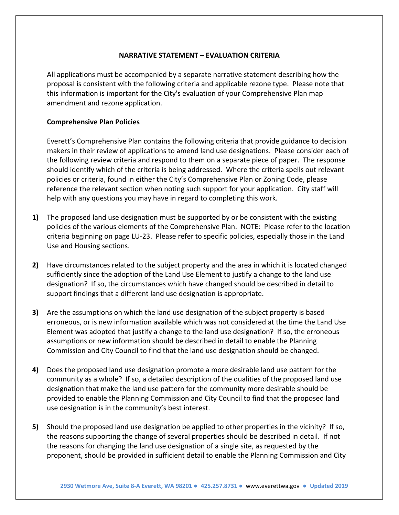## **NARRATIVE STATEMENT – EVALUATION CRITERIA**

All applications must be accompanied by a separate narrative statement describing how the proposal is consistent with the following criteria and applicable rezone type. Please note that this information is important for the City's evaluation of your Comprehensive Plan map amendment and rezone application.

#### **Comprehensive Plan Policies**

Everett's Comprehensive Plan contains the following criteria that provide guidance to decision makers in their review of applications to amend land use designations. Please consider each of the following review criteria and respond to them on a separate piece of paper. The response should identify which of the criteria is being addressed. Where the criteria spells out relevant policies or criteria, found in either the City's Comprehensive Plan or Zoning Code, please reference the relevant section when noting such support for your application. City staff will help with any questions you may have in regard to completing this work.

- **1)** The proposed land use designation must be supported by or be consistent with the existing policies of the various elements of the Comprehensive Plan. NOTE: Please refer to the location criteria beginning on page LU-23. Please refer to specific policies, especially those in the Land Use and Housing sections.
- **2)** Have circumstances related to the subject property and the area in which it is located changed sufficiently since the adoption of the Land Use Element to justify a change to the land use designation? If so, the circumstances which have changed should be described in detail to support findings that a different land use designation is appropriate.
- **3)** Are the assumptions on which the land use designation of the subject property is based erroneous, or is new information available which was not considered at the time the Land Use Element was adopted that justify a change to the land use designation? If so, the erroneous assumptions or new information should be described in detail to enable the Planning Commission and City Council to find that the land use designation should be changed.
- **4)** Does the proposed land use designation promote a more desirable land use pattern for the community as a whole? If so, a detailed description of the qualities of the proposed land use designation that make the land use pattern for the community more desirable should be provided to enable the Planning Commission and City Council to find that the proposed land use designation is in the community's best interest.
- **5)** Should the proposed land use designation be applied to other properties in the vicinity? If so, the reasons supporting the change of several properties should be described in detail. If not the reasons for changing the land use designation of a single site, as requested by the proponent, should be provided in sufficient detail to enable the Planning Commission and City